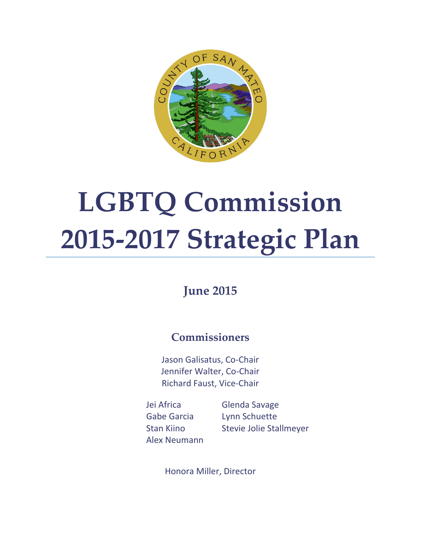

# **LGBTQ Commission 2015-2017 Strategic Plan**

## **June 2015**

## **Commissioners**

Jason Galisatus, Co-Chair Jennifer Walter, Co-Chair Richard Faust, Vice-Chair

Jei Africa Gabe Garcia Stan Kiino Alex Neumann Glenda Savage Lynn Schuette Stevie Jolie Stallmeyer

Honora Miller, Director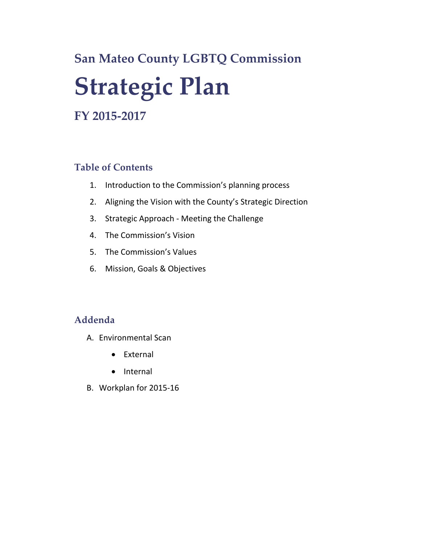## **San Mateo County LGBTQ Commission Strategic Plan**

## **FY 2015-2017**

### **Table of Contents**

- 1. Introduction to the Commission's planning process
- 2. Aligning the Vision with the County's Strategic Direction
- 3. Strategic Approach Meeting the Challenge
- 4. The Commission's Vision
- 5. The Commission's Values
- 6. Mission, Goals & Objectives

#### **Addenda**

- A. Environmental Scan
	- External
	- Internal
- B. Workplan for 2015-16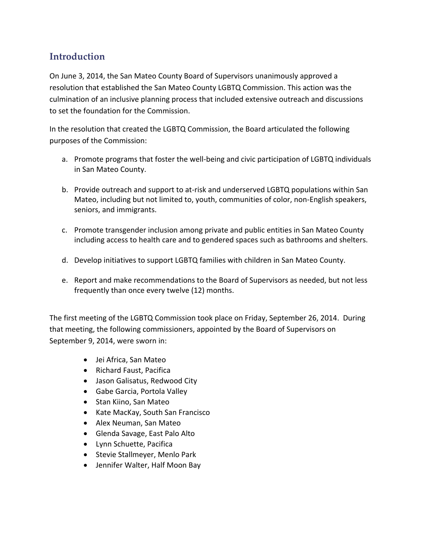## **Introduction**

On June 3, 2014, the San Mateo County Board of Supervisors unanimously approved a resolution that established the San Mateo County LGBTQ Commission. This action was the culmination of an inclusive planning process that included extensive outreach and discussions to set the foundation for the Commission.

In the resolution that created the LGBTQ Commission, the Board articulated the following purposes of the Commission:

- a. Promote programs that foster the well-being and civic participation of LGBTQ individuals in San Mateo County.
- b. Provide outreach and support to at-risk and underserved LGBTQ populations within San Mateo, including but not limited to, youth, communities of color, non-English speakers, seniors, and immigrants.
- c. Promote transgender inclusion among private and public entities in San Mateo County including access to health care and to gendered spaces such as bathrooms and shelters.
- d. Develop initiatives to support LGBTQ families with children in San Mateo County.
- e. Report and make recommendations to the Board of Supervisors as needed, but not less frequently than once every twelve (12) months.

The first meeting of the LGBTQ Commission took place on Friday, September 26, 2014. During that meeting, the following commissioners, appointed by the Board of Supervisors on September 9, 2014, were sworn in:

- Jei Africa, San Mateo
- Richard Faust, Pacifica
- Jason Galisatus, Redwood City
- Gabe Garcia, Portola Valley
- Stan Kiino, San Mateo
- Kate MacKay, South San Francisco
- Alex Neuman, San Mateo
- Glenda Savage, East Palo Alto
- Lynn Schuette, Pacifica
- Stevie Stallmeyer, Menlo Park
- Jennifer Walter, Half Moon Bay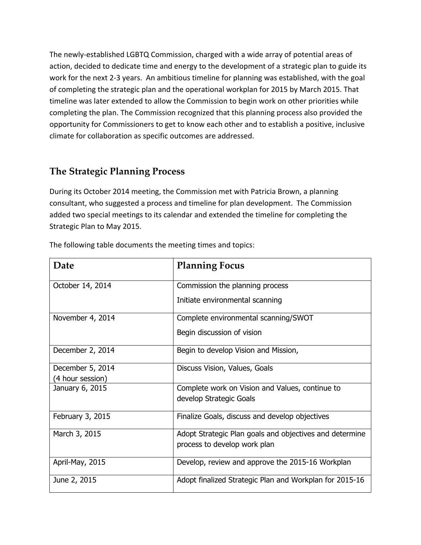The newly-established LGBTQ Commission, charged with a wide array of potential areas of action, decided to dedicate time and energy to the development of a strategic plan to guide its work for the next 2-3 years. An ambitious timeline for planning was established, with the goal of completing the strategic plan and the operational workplan for 2015 by March 2015. That timeline was later extended to allow the Commission to begin work on other priorities while completing the plan. The Commission recognized that this planning process also provided the opportunity for Commissioners to get to know each other and to establish a positive, inclusive climate for collaboration as specific outcomes are addressed.

## **The Strategic Planning Process**

During its October 2014 meeting, the Commission met with Patricia Brown, a planning consultant, who suggested a process and timeline for plan development. The Commission added two special meetings to its calendar and extended the timeline for completing the Strategic Plan to May 2015.

| Date             | <b>Planning Focus</b>                                   |
|------------------|---------------------------------------------------------|
| October 14, 2014 | Commission the planning process                         |
|                  | Initiate environmental scanning                         |
| November 4, 2014 | Complete environmental scanning/SWOT                    |
|                  | Begin discussion of vision                              |
| December 2, 2014 | Begin to develop Vision and Mission,                    |
| December 5, 2014 | Discuss Vision, Values, Goals                           |
| (4 hour session) |                                                         |
| January 6, 2015  | Complete work on Vision and Values, continue to         |
|                  | develop Strategic Goals                                 |
| February 3, 2015 | Finalize Goals, discuss and develop objectives          |
| March 3, 2015    | Adopt Strategic Plan goals and objectives and determine |
|                  | process to develop work plan                            |
| April-May, 2015  | Develop, review and approve the 2015-16 Workplan        |
| June 2, 2015     | Adopt finalized Strategic Plan and Workplan for 2015-16 |

The following table documents the meeting times and topics: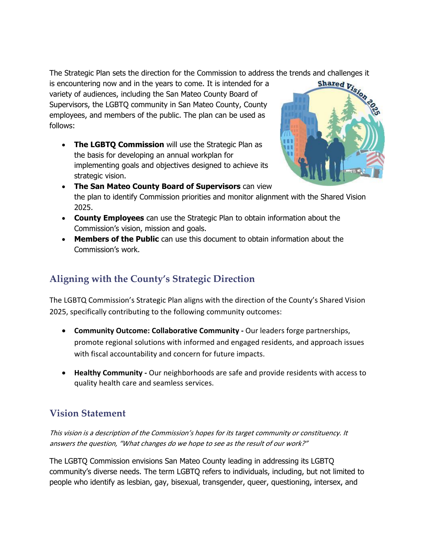The Strategic Plan sets the direction for the Commission to address the trends and challenges it<br>is encountering now and in the years to come. It is intended for a<br>shared  $y_i$ ,  $y_j$ ,  $y_k$ ,  $y_k$ ,  $y_k$ ,  $y_k$ ,  $y_k$ ,  $y_k$ ,  $y$ is encountering now and in the years to come. It is intended for a variety of audiences, including the San Mateo County Board of Supervisors, the LGBTQ community in San Mateo County, County employees, and members of the public. The plan can be used as follows:

**The LGBTQ Commission** will use the Strategic Plan as the basis for developing an annual workplan for implementing goals and objectives designed to achieve its strategic vision.



- **The San Mateo County Board of Supervisors** can view the plan to identify Commission priorities and monitor alignment with the Shared Vision 2025.
- **County Employees** can use the Strategic Plan to obtain information about the Commission's vision, mission and goals.
- **Members of the Public** can use this document to obtain information about the Commission's work.

## **Aligning with the County's Strategic Direction**

The LGBTQ Commission's Strategic Plan aligns with the direction of the County's Shared Vision 2025, specifically contributing to the following community outcomes:

- **Community Outcome: Collaborative Community -** Our leaders forge partnerships, promote regional solutions with informed and engaged residents, and approach issues with fiscal accountability and concern for future impacts.
- **Healthy Community -** Our neighborhoods are safe and provide residents with access to quality health care and seamless services.

## **Vision Statement**

This vision is a description of the Commission's hopes for its target community or constituency. It answers the question, "What changes do we hope to see as the result of our work?"

The LGBTQ Commission envisions San Mateo County leading in addressing its LGBTQ community's diverse needs. The term LGBTQ refers to individuals, including, but not limited to people who identify as lesbian, gay, bisexual, transgender, queer, questioning, intersex, and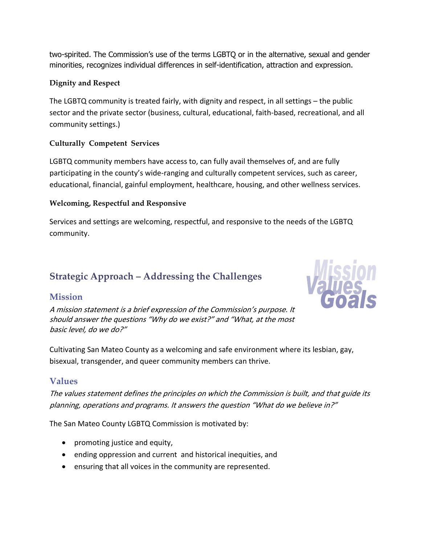two-spirited. The Commission's use of the terms LGBTQ or in the alternative, sexual and gender minorities, recognizes individual differences in self-identification, attraction and expression.

#### **Dignity and Respect**

The LGBTQ community is treated fairly, with dignity and respect, in all settings – the public sector and the private sector (business, cultural, educational, faith-based, recreational, and all community settings.)

#### **Culturally Competent Services**

LGBTQ community members have access to, can fully avail themselves of, and are fully participating in the county's wide-ranging and culturally competent services, such as career, educational, financial, gainful employment, healthcare, housing, and other wellness services.

#### **Welcoming, Respectful and Responsive**

Services and settings are welcoming, respectful, and responsive to the needs of the LGBTQ community.

## **Strategic Approach – Addressing the Challenges**

#### **Mission**

A mission statement is a brief expression of the Commission's purpose. It should answer the questions "Why do we exist?" and "What, at the most basic level, do we do?"



Cultivating San Mateo County as a welcoming and safe environment where its lesbian, gay, bisexual, transgender, and queer community members can thrive.

#### **Values**

The values statement defines the principles on which the Commission is built, and that guide its planning, operations and programs. It answers the question "What do we believe in?"

The San Mateo County LGBTQ Commission is motivated by:

- promoting justice and equity,
- ending oppression and current and historical inequities, and
- ensuring that all voices in the community are represented.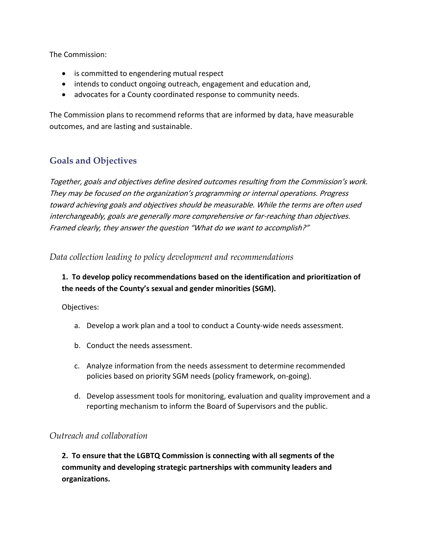The Commission:

- is committed to engendering mutual respect
- intends to conduct ongoing outreach, engagement and education and,
- advocates for a County coordinated response to community needs.

The Commission plans to recommend reforms that are informed by data, have measurable outcomes, and are lasting and sustainable.

#### **Goals and Objectives**

Together, goals and objectives define desired outcomes resulting from the Commission's work. They may be focused on the organization's programming or internal operations. Progress toward achieving goals and objectives should be measurable. While the terms are often used interchangeably, goals are generally more comprehensive or far-reaching than objectives. Framed clearly, they answer the question "What do we want to accomplish?"

*Data collection leading to policy development and recommendations*

#### **1. To develop policy recommendations based on the identification and prioritization of the needs of the County's sexual and gender minorities (SGM).**

Objectives:

- a. Develop a work plan and a tool to conduct a County-wide needs assessment.
- b. Conduct the needs assessment.
- c. Analyze information from the needs assessment to determine recommended policies based on priority SGM needs (policy framework, on-going).
- d. Develop assessment tools for monitoring, evaluation and quality improvement and a reporting mechanism to inform the Board of Supervisors and the public.

#### *Outreach and collaboration*

**2. To ensure that the LGBTQ Commission is connecting with all segments of the community and developing strategic partnerships with community leaders and organizations.**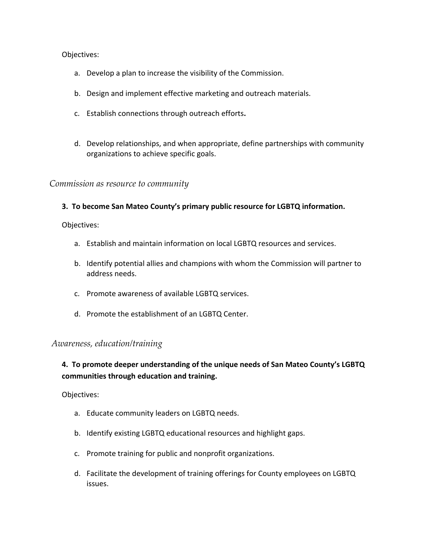#### Objectives:

- a. Develop a plan to increase the visibility of the Commission.
- b. Design and implement effective marketing and outreach materials.
- c. Establish connections through outreach efforts**.**
- d. Develop relationships, and when appropriate, define partnerships with community organizations to achieve specific goals.

*Commission as resource to community*

#### **3. To become San Mateo County's primary public resource for LGBTQ information.**

Objectives:

- a. Establish and maintain information on local LGBTQ resources and services.
- b. Identify potential allies and champions with whom the Commission will partner to address needs.
- c. Promote awareness of available LGBTQ services.
- d. Promote the establishment of an LGBTQ Center.

#### *Awareness, education/training*

#### **4. To promote deeper understanding of the unique needs of San Mateo County's LGBTQ communities through education and training.**

Objectives:

- a. Educate community leaders on LGBTQ needs.
- b. Identify existing LGBTQ educational resources and highlight gaps.
- c. Promote training for public and nonprofit organizations.
- d. Facilitate the development of training offerings for County employees on LGBTQ issues.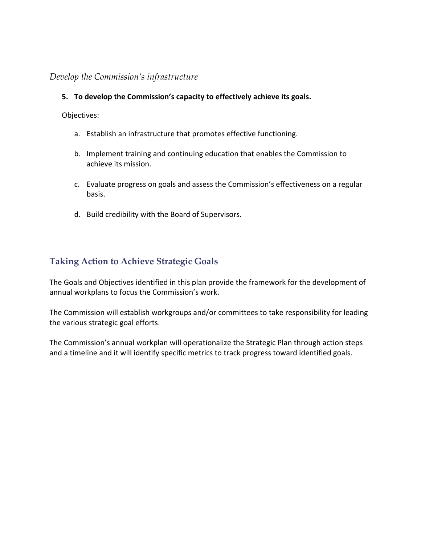#### *Develop the Commission's infrastructure*

#### **5. To develop the Commission's capacity to effectively achieve its goals.**

Objectives:

- a. Establish an infrastructure that promotes effective functioning.
- b. Implement training and continuing education that enables the Commission to achieve its mission.
- c. Evaluate progress on goals and assess the Commission's effectiveness on a regular basis.
- d. Build credibility with the Board of Supervisors.

#### **Taking Action to Achieve Strategic Goals**

The Goals and Objectives identified in this plan provide the framework for the development of annual workplans to focus the Commission's work.

The Commission will establish workgroups and/or committees to take responsibility for leading the various strategic goal efforts.

The Commission's annual workplan will operationalize the Strategic Plan through action steps and a timeline and it will identify specific metrics to track progress toward identified goals.